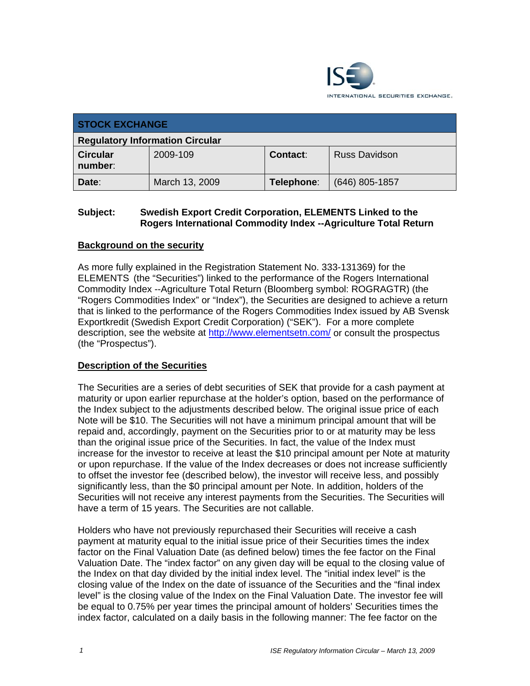

| <b>STOCK EXCHANGE</b>                  |                |            |                      |
|----------------------------------------|----------------|------------|----------------------|
| <b>Regulatory Information Circular</b> |                |            |                      |
| <b>Circular</b><br>number:             | 2009-109       | Contact:   | <b>Russ Davidson</b> |
| Date:                                  | March 13, 2009 | Telephone: | $(646)$ 805-1857     |

## **Subject: Swedish Export Credit Corporation, ELEMENTS Linked to the Rogers International Commodity Index --Agriculture Total Return**

# **Background on the security**

As more fully explained in the Registration Statement No. 333-131369) for the ELEMENTS (the "Securities") linked to the performance of the Rogers International Commodity Index --Agriculture Total Return (Bloomberg symbol: ROGRAGTR) (the "Rogers Commodities Index" or "Index"), the Securities are designed to achieve a return that is linked to the performance of the Rogers Commodities Index issued by AB Svensk Exportkredit (Swedish Export Credit Corporation) ("SEK"). For a more complete description, see the website at http://www.elementsetn.com/ or consult the prospectus (the "Prospectus").

### **Description of the Securities**

The Securities are a series of debt securities of SEK that provide for a cash payment at maturity or upon earlier repurchase at the holder's option, based on the performance of the Index subject to the adjustments described below. The original issue price of each Note will be \$10. The Securities will not have a minimum principal amount that will be repaid and, accordingly, payment on the Securities prior to or at maturity may be less than the original issue price of the Securities. In fact, the value of the Index must increase for the investor to receive at least the \$10 principal amount per Note at maturity or upon repurchase. If the value of the Index decreases or does not increase sufficiently to offset the investor fee (described below), the investor will receive less, and possibly significantly less, than the \$0 principal amount per Note. In addition, holders of the Securities will not receive any interest payments from the Securities. The Securities will have a term of 15 years. The Securities are not callable.

Holders who have not previously repurchased their Securities will receive a cash payment at maturity equal to the initial issue price of their Securities times the index factor on the Final Valuation Date (as defined below) times the fee factor on the Final Valuation Date. The "index factor" on any given day will be equal to the closing value of the Index on that day divided by the initial index level. The "initial index level" is the closing value of the Index on the date of issuance of the Securities and the "final index level" is the closing value of the Index on the Final Valuation Date. The investor fee will be equal to 0.75% per year times the principal amount of holders' Securities times the index factor, calculated on a daily basis in the following manner: The fee factor on the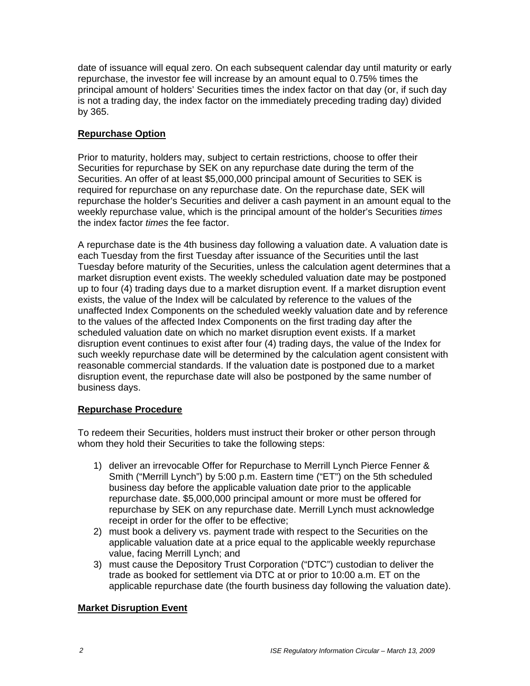date of issuance will equal zero. On each subsequent calendar day until maturity or early repurchase, the investor fee will increase by an amount equal to 0.75% times the principal amount of holders' Securities times the index factor on that day (or, if such day is not a trading day, the index factor on the immediately preceding trading day) divided by 365.

# **Repurchase Option**

Prior to maturity, holders may, subject to certain restrictions, choose to offer their Securities for repurchase by SEK on any repurchase date during the term of the Securities. An offer of at least \$5,000,000 principal amount of Securities to SEK is required for repurchase on any repurchase date. On the repurchase date, SEK will repurchase the holder's Securities and deliver a cash payment in an amount equal to the weekly repurchase value, which is the principal amount of the holder's Securities *times*  the index factor *times* the fee factor.

A repurchase date is the 4th business day following a valuation date. A valuation date is each Tuesday from the first Tuesday after issuance of the Securities until the last Tuesday before maturity of the Securities, unless the calculation agent determines that a market disruption event exists. The weekly scheduled valuation date may be postponed up to four (4) trading days due to a market disruption event. If a market disruption event exists, the value of the Index will be calculated by reference to the values of the unaffected Index Components on the scheduled weekly valuation date and by reference to the values of the affected Index Components on the first trading day after the scheduled valuation date on which no market disruption event exists. If a market disruption event continues to exist after four (4) trading days, the value of the Index for such weekly repurchase date will be determined by the calculation agent consistent with reasonable commercial standards. If the valuation date is postponed due to a market disruption event, the repurchase date will also be postponed by the same number of business days.

### **Repurchase Procedure**

To redeem their Securities, holders must instruct their broker or other person through whom they hold their Securities to take the following steps:

- 1) deliver an irrevocable Offer for Repurchase to Merrill Lynch Pierce Fenner & Smith ("Merrill Lynch") by 5:00 p.m. Eastern time ("ET") on the 5th scheduled business day before the applicable valuation date prior to the applicable repurchase date. \$5,000,000 principal amount or more must be offered for repurchase by SEK on any repurchase date. Merrill Lynch must acknowledge receipt in order for the offer to be effective;
- 2) must book a delivery vs. payment trade with respect to the Securities on the applicable valuation date at a price equal to the applicable weekly repurchase value, facing Merrill Lynch; and
- 3) must cause the Depository Trust Corporation ("DTC") custodian to deliver the trade as booked for settlement via DTC at or prior to 10:00 a.m. ET on the applicable repurchase date (the fourth business day following the valuation date).

### **Market Disruption Event**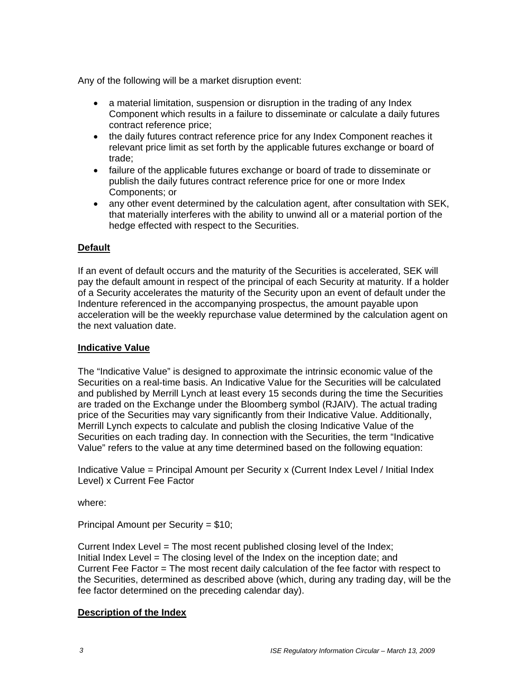Any of the following will be a market disruption event:

- a material limitation, suspension or disruption in the trading of any Index Component which results in a failure to disseminate or calculate a daily futures contract reference price;
- the daily futures contract reference price for any Index Component reaches it relevant price limit as set forth by the applicable futures exchange or board of trade;
- failure of the applicable futures exchange or board of trade to disseminate or publish the daily futures contract reference price for one or more Index Components; or
- any other event determined by the calculation agent, after consultation with SEK, that materially interferes with the ability to unwind all or a material portion of the hedge effected with respect to the Securities.

### **Default**

If an event of default occurs and the maturity of the Securities is accelerated, SEK will pay the default amount in respect of the principal of each Security at maturity. If a holder of a Security accelerates the maturity of the Security upon an event of default under the Indenture referenced in the accompanying prospectus, the amount payable upon acceleration will be the weekly repurchase value determined by the calculation agent on the next valuation date.

#### **Indicative Value**

The "Indicative Value" is designed to approximate the intrinsic economic value of the Securities on a real-time basis. An Indicative Value for the Securities will be calculated and published by Merrill Lynch at least every 15 seconds during the time the Securities are traded on the Exchange under the Bloomberg symbol (RJAIV). The actual trading price of the Securities may vary significantly from their Indicative Value. Additionally, Merrill Lynch expects to calculate and publish the closing Indicative Value of the Securities on each trading day. In connection with the Securities, the term "Indicative Value" refers to the value at any time determined based on the following equation:

Indicative Value = Principal Amount per Security x (Current Index Level / Initial Index Level) x Current Fee Factor

where:

Principal Amount per Security = \$10;

Current Index Level = The most recent published closing level of the Index; Initial Index Level = The closing level of the Index on the inception date; and Current Fee Factor = The most recent daily calculation of the fee factor with respect to the Securities, determined as described above (which, during any trading day, will be the fee factor determined on the preceding calendar day).

### **Description of the Index**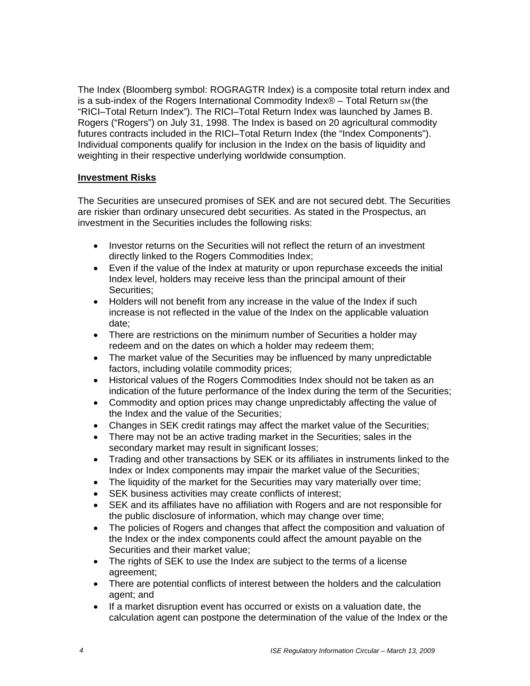The Index (Bloomberg symbol: ROGRAGTR Index) is a composite total return index and is a sub-index of the Rogers International Commodity Index® – Total Return SM (the "RICI–Total Return Index"). The RICI–Total Return Index was launched by James B. Rogers ("Rogers") on July 31, 1998. The Index is based on 20 agricultural commodity futures contracts included in the RICI–Total Return Index (the "Index Components"). Individual components qualify for inclusion in the Index on the basis of liquidity and weighting in their respective underlying worldwide consumption.

#### **Investment Risks**

The Securities are unsecured promises of SEK and are not secured debt. The Securities are riskier than ordinary unsecured debt securities. As stated in the Prospectus, an investment in the Securities includes the following risks:

- Investor returns on the Securities will not reflect the return of an investment directly linked to the Rogers Commodities Index;
- Even if the value of the Index at maturity or upon repurchase exceeds the initial Index level, holders may receive less than the principal amount of their Securities;
- Holders will not benefit from any increase in the value of the Index if such increase is not reflected in the value of the Index on the applicable valuation date;
- There are restrictions on the minimum number of Securities a holder may redeem and on the dates on which a holder may redeem them;
- The market value of the Securities may be influenced by many unpredictable factors, including volatile commodity prices;
- Historical values of the Rogers Commodities Index should not be taken as an indication of the future performance of the Index during the term of the Securities;
- Commodity and option prices may change unpredictably affecting the value of the Index and the value of the Securities;
- Changes in SEK credit ratings may affect the market value of the Securities;
- There may not be an active trading market in the Securities; sales in the secondary market may result in significant losses;
- Trading and other transactions by SEK or its affiliates in instruments linked to the Index or Index components may impair the market value of the Securities;
- The liquidity of the market for the Securities may vary materially over time;
- SEK business activities may create conflicts of interest;
- SEK and its affiliates have no affiliation with Rogers and are not responsible for the public disclosure of information, which may change over time;
- The policies of Rogers and changes that affect the composition and valuation of the Index or the index components could affect the amount payable on the Securities and their market value;
- The rights of SEK to use the Index are subject to the terms of a license agreement;
- There are potential conflicts of interest between the holders and the calculation agent; and
- If a market disruption event has occurred or exists on a valuation date, the calculation agent can postpone the determination of the value of the Index or the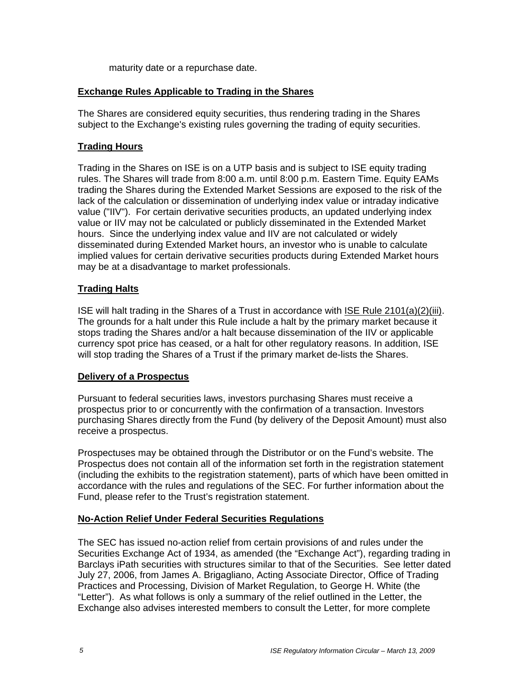maturity date or a repurchase date.

#### **Exchange Rules Applicable to Trading in the Shares**

The Shares are considered equity securities, thus rendering trading in the Shares subject to the Exchange's existing rules governing the trading of equity securities.

#### **Trading Hours**

Trading in the Shares on ISE is on a UTP basis and is subject to ISE equity trading rules. The Shares will trade from 8:00 a.m. until 8:00 p.m. Eastern Time. Equity EAMs trading the Shares during the Extended Market Sessions are exposed to the risk of the lack of the calculation or dissemination of underlying index value or intraday indicative value ("IIV"). For certain derivative securities products, an updated underlying index value or IIV may not be calculated or publicly disseminated in the Extended Market hours. Since the underlying index value and IIV are not calculated or widely disseminated during Extended Market hours, an investor who is unable to calculate implied values for certain derivative securities products during Extended Market hours may be at a disadvantage to market professionals.

#### **Trading Halts**

ISE will halt trading in the Shares of a Trust in accordance with ISE Rule 2101(a)(2)(iii). The grounds for a halt under this Rule include a halt by the primary market because it stops trading the Shares and/or a halt because dissemination of the IIV or applicable currency spot price has ceased, or a halt for other regulatory reasons. In addition, ISE will stop trading the Shares of a Trust if the primary market de-lists the Shares.

#### **Delivery of a Prospectus**

Pursuant to federal securities laws, investors purchasing Shares must receive a prospectus prior to or concurrently with the confirmation of a transaction. Investors purchasing Shares directly from the Fund (by delivery of the Deposit Amount) must also receive a prospectus.

Prospectuses may be obtained through the Distributor or on the Fund's website. The Prospectus does not contain all of the information set forth in the registration statement (including the exhibits to the registration statement), parts of which have been omitted in accordance with the rules and regulations of the SEC. For further information about the Fund, please refer to the Trust's registration statement.

### **No-Action Relief Under Federal Securities Regulations**

The SEC has issued no-action relief from certain provisions of and rules under the Securities Exchange Act of 1934, as amended (the "Exchange Act"), regarding trading in Barclays iPath securities with structures similar to that of the Securities. See letter dated July 27, 2006, from James A. Brigagliano, Acting Associate Director, Office of Trading Practices and Processing, Division of Market Regulation, to George H. White (the "Letter"). As what follows is only a summary of the relief outlined in the Letter, the Exchange also advises interested members to consult the Letter, for more complete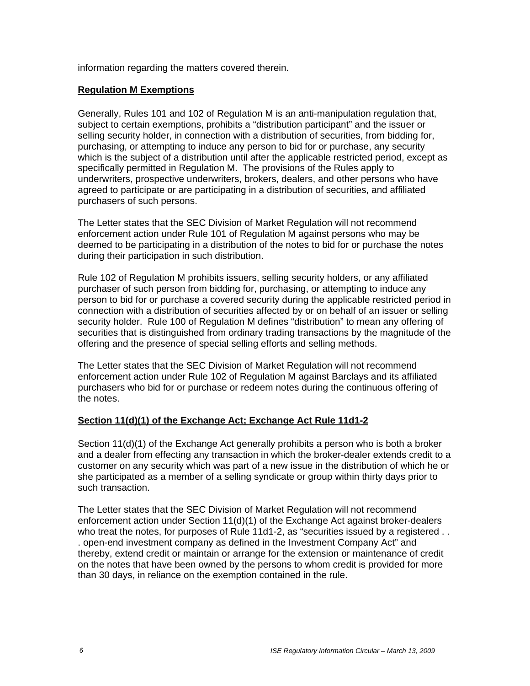information regarding the matters covered therein.

### **Regulation M Exemptions**

Generally, Rules 101 and 102 of Regulation M is an anti-manipulation regulation that, subject to certain exemptions, prohibits a "distribution participant" and the issuer or selling security holder, in connection with a distribution of securities, from bidding for, purchasing, or attempting to induce any person to bid for or purchase, any security which is the subject of a distribution until after the applicable restricted period, except as specifically permitted in Regulation M. The provisions of the Rules apply to underwriters, prospective underwriters, brokers, dealers, and other persons who have agreed to participate or are participating in a distribution of securities, and affiliated purchasers of such persons.

The Letter states that the SEC Division of Market Regulation will not recommend enforcement action under Rule 101 of Regulation M against persons who may be deemed to be participating in a distribution of the notes to bid for or purchase the notes during their participation in such distribution.

Rule 102 of Regulation M prohibits issuers, selling security holders, or any affiliated purchaser of such person from bidding for, purchasing, or attempting to induce any person to bid for or purchase a covered security during the applicable restricted period in connection with a distribution of securities affected by or on behalf of an issuer or selling security holder. Rule 100 of Regulation M defines "distribution" to mean any offering of securities that is distinguished from ordinary trading transactions by the magnitude of the offering and the presence of special selling efforts and selling methods.

The Letter states that the SEC Division of Market Regulation will not recommend enforcement action under Rule 102 of Regulation M against Barclays and its affiliated purchasers who bid for or purchase or redeem notes during the continuous offering of the notes.

### **Section 11(d)(1) of the Exchange Act; Exchange Act Rule 11d1-2**

Section 11(d)(1) of the Exchange Act generally prohibits a person who is both a broker and a dealer from effecting any transaction in which the broker-dealer extends credit to a customer on any security which was part of a new issue in the distribution of which he or she participated as a member of a selling syndicate or group within thirty days prior to such transaction.

The Letter states that the SEC Division of Market Regulation will not recommend enforcement action under Section 11(d)(1) of the Exchange Act against broker-dealers who treat the notes, for purposes of Rule 11d1-2, as "securities issued by a registered . . . open-end investment company as defined in the Investment Company Act" and thereby, extend credit or maintain or arrange for the extension or maintenance of credit on the notes that have been owned by the persons to whom credit is provided for more than 30 days, in reliance on the exemption contained in the rule.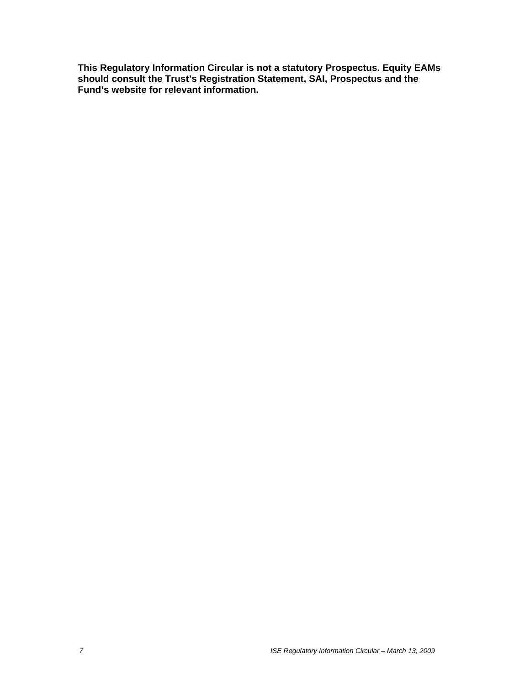**This Regulatory Information Circular is not a statutory Prospectus. Equity EAMs should consult the Trust's Registration Statement, SAI, Prospectus and the Fund's website for relevant information.**